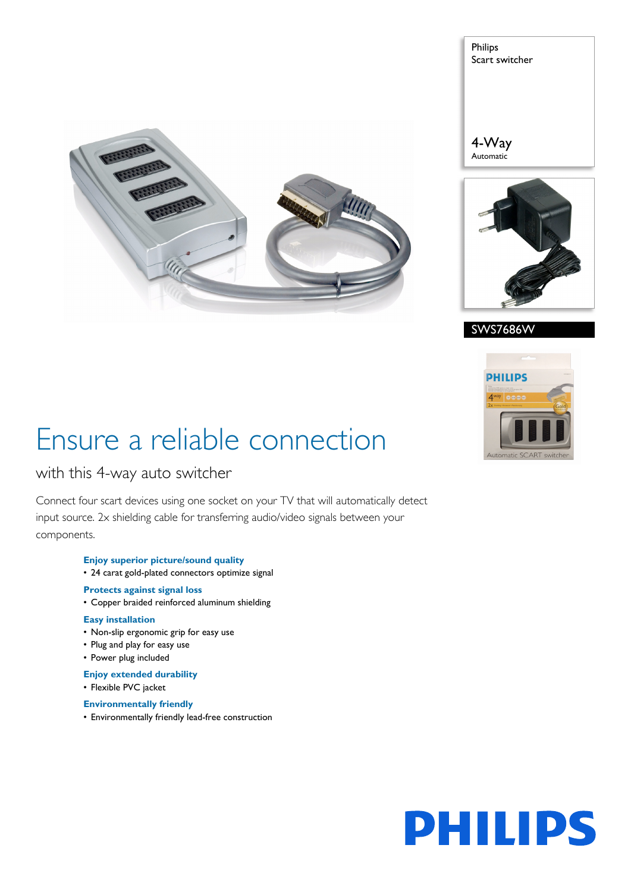

Philips Scart switcher

4-Way Automatic







# Ensure a reliable connection

### with this 4-way auto switcher

Connect four scart devices using one socket on your TV that will automatically detect input source. 2x shielding cable for transferring audio/video signals between your components.

- **Enjoy superior picture/sound quality**
- 24 carat gold-plated connectors optimize signal

### **Protects against signal loss**

• Copper braided reinforced aluminum shielding

#### **Easy installation**

- Non-slip ergonomic grip for easy use
- Plug and play for easy use
- Power plug included

#### **Enjoy extended durability**

• Flexible PVC jacket

#### **Environmentally friendly**

• Environmentally friendly lead-free construction